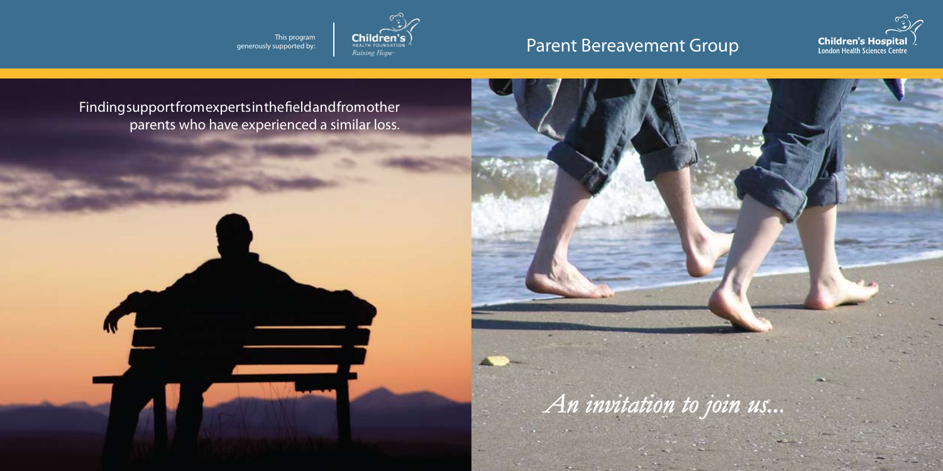

# Parent Bereavement Group

**Children's Hospital**<br>London Health Sciences Centre

Finding support from experts in the field and from other parents who have experienced a similar loss.

This program generously supported by: